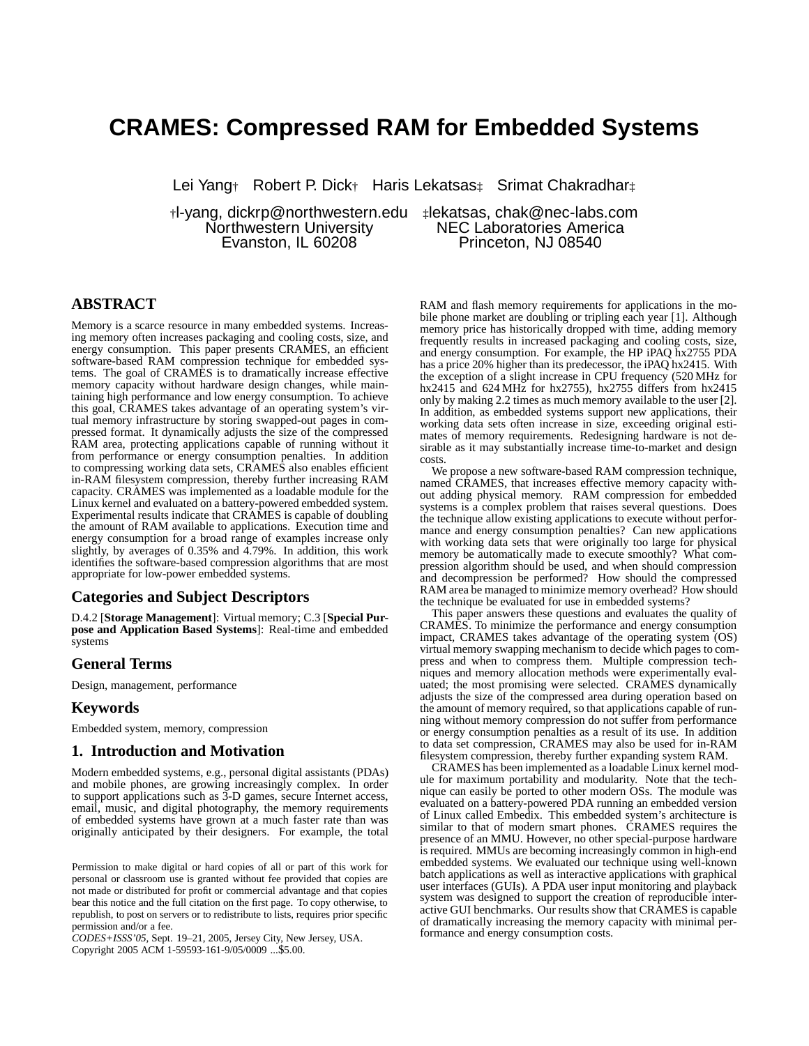# **CRAMES: Compressed RAM for Embedded Systems**

Lei Yang† Robert P. Dick† Haris Lekatsas‡ Srimat Chakradhar‡

†l-yang, dickrp@northwestern.edu ‡lekatsas, chak@nec-labs.com

orthwestern University **NEC Laboratories America**<br>Evanston, IL 60208 **NEC Laboratories America** Princeton, NJ 08540

# **ABSTRACT**

Memory is a scarce resource in many embedded systems. Increasing memory often increases packaging and cooling costs, size, and energy consumption. This paper presents CRAMES, an efficient software-based RAM compression technique for embedded systems. The goal of CRAMES is to dramatically increase effective memory capacity without hardware design changes, while maintaining high performance and low energy consumption. To achieve this goal, CRAMES takes advantage of an operating system's virtual memory infrastructure by storing swapped-out pages in compressed format. It dynamically adjusts the size of the compressed RAM area, protecting applications capable of running without it from performance or energy consumption penalties. In addition to compressing working data sets, CRAMES also enables efficient in-RAM filesystem compression, thereby further increasing RAM capacity. CRAMES was implemented as a loadable module for the Linux kernel and evaluated on a battery-powered embedded system. Experimental results indicate that CRAMES is capable of doubling the amount of RAM available to applications. Execution time and energy consumption for a broad range of examples increase only slightly, by averages of 0.35% and 4.79%. In addition, this work identifies the software-based compression algorithms that are most appropriate for low-power embedded systems.

# **Categories and Subject Descriptors**

D.4.2 [**Storage Management**]: Virtual memory; C.3 [**Special Purpose and Application Based Systems**]: Real-time and embedded systems

# **General Terms**

Design, management, performance

### **Keywords**

Embedded system, memory, compression

### **1. Introduction and Motivation**

Modern embedded systems, e.g., personal digital assistants (PDAs) and mobile phones, are growing increasingly complex. In order to support applications such as 3-D games, secure Internet access, email, music, and digital photography, the memory requirements of embedded systems have grown at a much faster rate than was originally anticipated by their designers. For example, the total

*CODES+ISSS'05,* Sept. 19–21, 2005, Jersey City, New Jersey, USA. Copyright 2005 ACM 1-59593-161-9/05/0009 ...\$5.00.

RAM and flash memory requirements for applications in the mobile phone market are doubling or tripling each year [1]. Although memory price has historically dropped with time, adding memory frequently results in increased packaging and cooling costs, size, and energy consumption. For example, the HP iPAQ hx2755 PDA has a price 20% higher than its predecessor, the iPAQ hx2415. With the exception of a slight increase in CPU frequency (520 MHz for hx2415 and 624 MHz for hx2755), hx2755 differs from hx2415 only by making 2.2 times as much memory available to the user [2]. In addition, as embedded systems support new applications, their working data sets often increase in size, exceeding original estimates of memory requirements. Redesigning hardware is not desirable as it may substantially increase time-to-market and design costs.

We propose a new software-based RAM compression technique, named CRAMES, that increases effective memory capacity without adding physical memory. RAM compression for embedded systems is a complex problem that raises several questions. Does the technique allow existing applications to execute without performance and energy consumption penalties? Can new applications with working data sets that were originally too large for physical memory be automatically made to execute smoothly? What compression algorithm should be used, and when should compression and decompression be performed? How should the compressed RAM area be managed to minimize memory overhead? How should the technique be evaluated for use in embedded systems?

This paper answers these questions and evaluates the quality of CRAMES. To minimize the performance and energy consumption impact, CRAMES takes advantage of the operating system (OS) virtual memory swapping mechanism to decide which pages to compress and when to compress them. Multiple compression techniques and memory allocation methods were experimentally evaluated; the most promising were selected. CRAMES dynamically adjusts the size of the compressed area during operation based on the amount of memory required, so that applications capable of running without memory compression do not suffer from performance or energy consumption penalties as a result of its use. In addition to data set compression, CRAMES may also be used for in-RAM filesystem compression, thereby further expanding system RAM.

CRAMES has been implemented as a loadable Linux kernel module for maximum portability and modularity. Note that the technique can easily be ported to other modern OSs. The module was evaluated on a battery-powered PDA running an embedded version of Linux called Embedix. This embedded system's architecture is similar to that of modern smart phones. CRAMES requires the presence of an MMU. However, no other special-purpose hardware is required. MMUs are becoming increasingly common in high-end embedded systems. We evaluated our technique using well-known batch applications as well as interactive applications with graphical user interfaces (GUIs). A PDA user input monitoring and playback system was designed to support the creation of reproducible interactive GUI benchmarks. Our results show that CRAMES is capable of dramatically increasing the memory capacity with minimal performance and energy consumption costs.

Permission to make digital or hard copies of all or part of this work for personal or classroom use is granted without fee provided that copies are not made or distributed for profit or commercial advantage and that copies bear this notice and the full citation on the first page. To copy otherwise, to republish, to post on servers or to redistribute to lists, requires prior specific permission and/or a fee.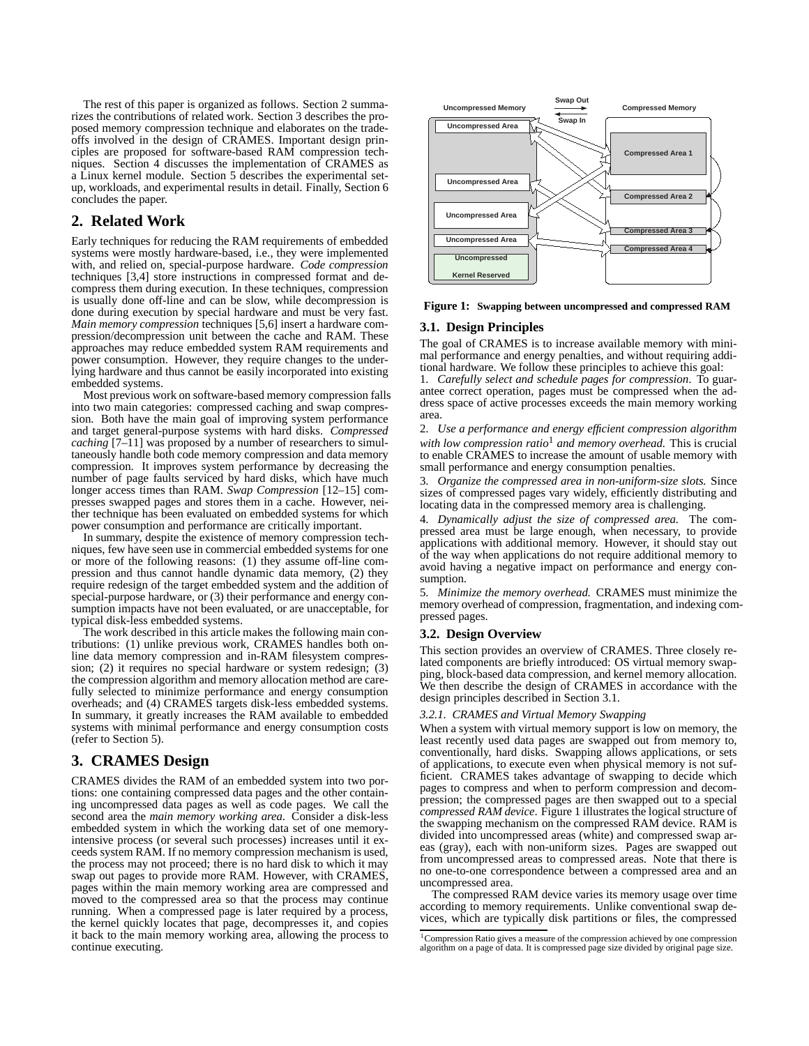The rest of this paper is organized as follows. Section 2 summarizes the contributions of related work. Section 3 describes the proposed memory compression technique and elaborates on the tradeoffs involved in the design of CRAMES. Important design principles are proposed for software-based RAM compression techniques. Section 4 discusses the implementation of CRAMES as a Linux kernel module. Section 5 describes the experimental setup, workloads, and experimental results in detail. Finally, Section 6 concludes the paper.

# **2. Related Work**

Early techniques for reducing the RAM requirements of embedded systems were mostly hardware-based, i.e., they were implemented with, and relied on, special-purpose hardware. *Code compression* techniques [3,4] store instructions in compressed format and decompress them during execution. In these techniques, compression is usually done off-line and can be slow, while decompression is done during execution by special hardware and must be very fast. *Main memory compression* techniques [5,6] insert a hardware compression/decompression unit between the cache and RAM. These approaches may reduce embedded system RAM requirements and power consumption. However, they require changes to the underlying hardware and thus cannot be easily incorporated into existing embedded systems.

Most previous work on software-based memory compression falls into two main categories: compressed caching and swap compression. Both have the main goal of improving system performance and target general-purpose systems with hard disks. *Compressed caching* [7–11] was proposed by a number of researchers to simultaneously handle both code memory compression and data memory compression. It improves system performance by decreasing the number of page faults serviced by hard disks, which have much longer access times than RAM. *Swap Compression* [12–15] compresses swapped pages and stores them in a cache. However, neither technique has been evaluated on embedded systems for which power consumption and performance are critically important.

In summary, despite the existence of memory compression techniques, few have seen use in commercial embedded systems for one or more of the following reasons: (1) they assume off-line compression and thus cannot handle dynamic data memory, (2) they require redesign of the target embedded system and the addition of special-purpose hardware, or (3) their performance and energy consumption impacts have not been evaluated, or are unacceptable, for typical disk-less embedded systems.

The work described in this article makes the following main contributions: (1) unlike previous work, CRAMES handles both online data memory compression and in-RAM filesystem compression; (2) it requires no special hardware or system redesign; (3) the compression algorithm and memory allocation method are carefully selected to minimize performance and energy consumption overheads; and (4) CRAMES targets disk-less embedded systems. In summary, it greatly increases the RAM available to embedded systems with minimal performance and energy consumption costs (refer to Section 5).

### **3. CRAMES Design**

CRAMES divides the RAM of an embedded system into two portions: one containing compressed data pages and the other containing uncompressed data pages as well as code pages. We call the second area the *main memory working area*. Consider a disk-less embedded system in which the working data set of one memoryintensive process (or several such processes) increases until it exceeds system RAM. If no memory compression mechanism is used, the process may not proceed; there is no hard disk to which it may swap out pages to provide more RAM. However, with CRAMES, pages within the main memory working area are compressed and moved to the compressed area so that the process may continue running. When a compressed page is later required by a process, the kernel quickly locates that page, decompresses it, and copies it back to the main memory working area, allowing the process to continue executing.



#### **Figure 1: Swapping between uncompressed and compressed RAM**

#### **3.1. Design Principles**

The goal of CRAMES is to increase available memory with minimal performance and energy penalties, and without requiring additional hardware. We follow these principles to achieve this goal:

1. *Carefully select and schedule pages for compression*. To guarantee correct operation, pages must be compressed when the address space of active processes exceeds the main memory working area.

2. *Use a performance and energy efficient compression algorithm with low compression ratio*<sup>1</sup> *and memory overhead.* This is crucial to enable CRAMES to increase the amount of usable memory with small performance and energy consumption penalties.

3. *Organize the compressed area in non-uniform-size slots.* Since sizes of compressed pages vary widely, efficiently distributing and locating data in the compressed memory area is challenging.

4. *Dynamically adjust the size of compressed area.* The compressed area must be large enough, when necessary, to provide applications with additional memory. However, it should stay out of the way when applications do not require additional memory to avoid having a negative impact on performance and energy consumption.

5. *Minimize the memory overhead.* CRAMES must minimize the memory overhead of compression, fragmentation, and indexing compressed pages.

#### **3.2. Design Overview**

This section provides an overview of CRAMES. Three closely related components are briefly introduced: OS virtual memory swapping, block-based data compression, and kernel memory allocation. We then describe the design of CRAMES in accordance with the design principles described in Section 3.1.

#### *3.2.1. CRAMES and Virtual Memory Swapping*

When a system with virtual memory support is low on memory, the least recently used data pages are swapped out from memory to, conventionally, hard disks. Swapping allows applications, or sets of applications, to execute even when physical memory is not sufficient. CRAMES takes advantage of swapping to decide which pages to compress and when to perform compression and decompression; the compressed pages are then swapped out to a special *compressed RAM device*. Figure 1 illustrates the logical structure of the swapping mechanism on the compressed RAM device. RAM is divided into uncompressed areas (white) and compressed swap areas (gray), each with non-uniform sizes. Pages are swapped out from uncompressed areas to compressed areas. Note that there is no one-to-one correspondence between a compressed area and an uncompressed area.

The compressed RAM device varies its memory usage over time according to memory requirements. Unlike conventional swap devices, which are typically disk partitions or files, the compressed

<sup>1</sup>Compression Ratio gives a measure of the compression achieved by one compression algorithm on a page of data. It is compressed page size divided by original page size.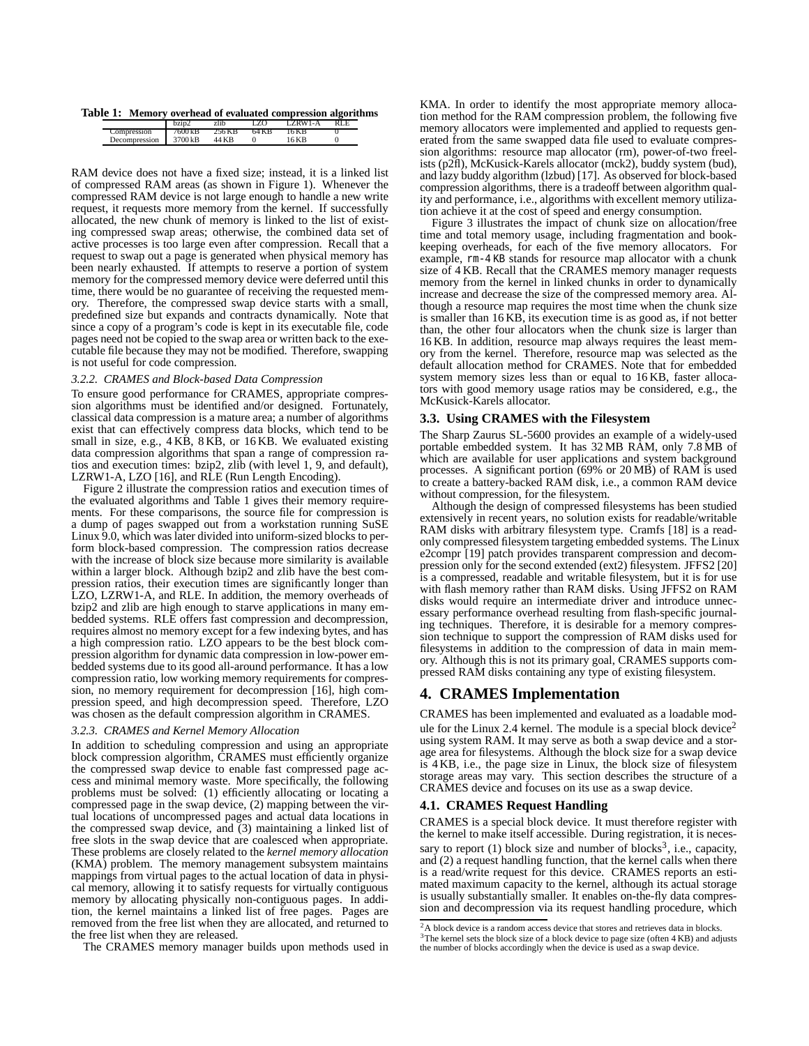**Table 1: Memory overhead of evaluated compression algorithms**

| KR<br>7600kB<br>6 K R<br>КB<br>Compression<br>16 KB<br>44 K B |               |         | zlib | $\epsilon$ | ZRWI-A |  |
|---------------------------------------------------------------|---------------|---------|------|------------|--------|--|
|                                                               |               |         |      |            |        |  |
|                                                               | Decompression | 3700 kB |      |            |        |  |

RAM device does not have a fixed size; instead, it is a linked list of compressed RAM areas (as shown in Figure 1). Whenever the compressed RAM device is not large enough to handle a new write request, it requests more memory from the kernel. If successfully allocated, the new chunk of memory is linked to the list of existing compressed swap areas; otherwise, the combined data set of active processes is too large even after compression. Recall that a request to swap out a page is generated when physical memory has been nearly exhausted. If attempts to reserve a portion of system memory for the compressed memory device were deferred until this time, there would be no guarantee of receiving the requested memory. Therefore, the compressed swap device starts with a small, predefined size but expands and contracts dynamically. Note that since a copy of a program's code is kept in its executable file, code pages need not be copied to the swap area or written back to the executable file because they may not be modified. Therefore, swapping is not useful for code compression.

#### *3.2.2. CRAMES and Block-based Data Compression*

To ensure good performance for CRAMES, appropriate compression algorithms must be identified and/or designed. Fortunately, classical data compression is a mature area; a number of algorithms exist that can effectively compress data blocks, which tend to be small in size, e.g., 4 KB, 8 KB, or 16 KB. We evaluated existing data compression algorithms that span a range of compression ratios and execution times: bzip2, zlib (with level 1, 9, and default), LZRW1-A, LZO [16], and RLE (Run Length Encoding).

Figure 2 illustrate the compression ratios and execution times of the evaluated algorithms and Table 1 gives their memory requirements. For these comparisons, the source file for compression is a dump of pages swapped out from a workstation running SuSE Linux 9.0, which was later divided into uniform-sized blocks to perform block-based compression. The compression ratios decrease with the increase of block size because more similarity is available within a larger block. Although bzip2 and zlib have the best compression ratios, their execution times are significantly longer than LZO, LZRW1-A, and RLE. In addition, the memory overheads of bzip2 and zlib are high enough to starve applications in many embedded systems. RLE offers fast compression and decompression, requires almost no memory except for a few indexing bytes, and has a high compression ratio. LZO appears to be the best block compression algorithm for dynamic data compression in low-power embedded systems due to its good all-around performance. It has a low compression ratio, low working memory requirements for compression, no memory requirement for decompression [16], high compression speed, and high decompression speed. Therefore, LZO was chosen as the default compression algorithm in CRAMES.

#### *3.2.3. CRAMES and Kernel Memory Allocation*

In addition to scheduling compression and using an appropriate block compression algorithm, CRAMES must efficiently organize the compressed swap device to enable fast compressed page access and minimal memory waste. More specifically, the following problems must be solved: (1) efficiently allocating or locating a compressed page in the swap device, (2) mapping between the virtual locations of uncompressed pages and actual data locations in the compressed swap device, and (3) maintaining a linked list of free slots in the swap device that are coalesced when appropriate. These problems are closely related to the *kernel memory allocation* (KMA) problem. The memory management subsystem maintains mappings from virtual pages to the actual location of data in physical memory, allowing it to satisfy requests for virtually contiguous memory by allocating physically non-contiguous pages. In addition, the kernel maintains a linked list of free pages. Pages are removed from the free list when they are allocated, and returned to the free list when they are released.

The CRAMES memory manager builds upon methods used in

KMA. In order to identify the most appropriate memory allocation method for the RAM compression problem, the following five memory allocators were implemented and applied to requests generated from the same swapped data file used to evaluate compression algorithms: resource map allocator (rm), power-of-two freelists (p2fl), McKusick-Karels allocator (mck2), buddy system (bud), and lazy buddy algorithm (lzbud) [17]. As observed for block-based compression algorithms, there is a tradeoff between algorithm quality and performance, i.e., algorithms with excellent memory utilization achieve it at the cost of speed and energy consumption.

Figure 3 illustrates the impact of chunk size on allocation/free time and total memory usage, including fragmentation and bookkeeping overheads, for each of the five memory allocators. For example, rm-4 KB stands for resource map allocator with a chunk size of 4 KB. Recall that the CRAMES memory manager requests memory from the kernel in linked chunks in order to dynamically increase and decrease the size of the compressed memory area. Although a resource map requires the most time when the chunk size is smaller than 16 KB, its execution time is as good as, if not better than, the other four allocators when the chunk size is larger than 16 KB. In addition, resource map always requires the least memory from the kernel. Therefore, resource map was selected as the default allocation method for CRAMES. Note that for embedded system memory sizes less than or equal to 16 KB, faster allocators with good memory usage ratios may be considered, e.g., the McKusick-Karels allocator.

#### **3.3. Using CRAMES with the Filesystem**

The Sharp Zaurus SL-5600 provides an example of a widely-used portable embedded system. It has 32 MB RAM, only 7.8 MB of which are available for user applications and system background processes. A significant portion (69% or 20 MB) of RAM is used to create a battery-backed RAM disk, i.e., a common RAM device without compression, for the filesystem.

Although the design of compressed filesystems has been studied extensively in recent years, no solution exists for readable/writable RAM disks with arbitrary filesystem type. Cramfs [18] is a readonly compressed filesystem targeting embedded systems. The Linux e2compr [19] patch provides transparent compression and decompression only for the second extended (ext2) filesystem. JFFS2 [20] is a compressed, readable and writable filesystem, but it is for use with flash memory rather than RAM disks. Using JFFS2 on RAM disks would require an intermediate driver and introduce unnecessary performance overhead resulting from flash-specific journaling techniques. Therefore, it is desirable for a memory compression technique to support the compression of RAM disks used for filesystems in addition to the compression of data in main memory. Although this is not its primary goal, CRAMES supports compressed RAM disks containing any type of existing filesystem.

### **4. CRAMES Implementation**

CRAMES has been implemented and evaluated as a loadable module for the Linux 2.4 kernel. The module is a special block device<sup>2</sup> using system RAM. It may serve as both a swap device and a storage area for filesystems. Although the block size for a swap device is 4 KB, i.e., the page size in Linux, the block size of filesystem storage areas may vary. This section describes the structure of a CRAMES device and focuses on its use as a swap device.

#### **4.1. CRAMES Request Handling**

CRAMES is a special block device. It must therefore register with the kernel to make itself accessible. During registration, it is necessary to report  $(1)$  block size and number of blocks<sup>3</sup>, i.e., capacity, and (2) a request handling function, that the kernel calls when there is a read/write request for this device. CRAMES reports an estimated maximum capacity to the kernel, although its actual storage is usually substantially smaller. It enables on-the-fly data compression and decompression via its request handling procedure, which

<sup>&</sup>lt;sup>2</sup>A block device is a random access device that stores and retrieves data in blocks.

<sup>&</sup>lt;sup>3</sup>The kernel sets the block size of a block device to page size (often 4KB) and adjusts the number of blocks accordingly when the device is used as a swap device.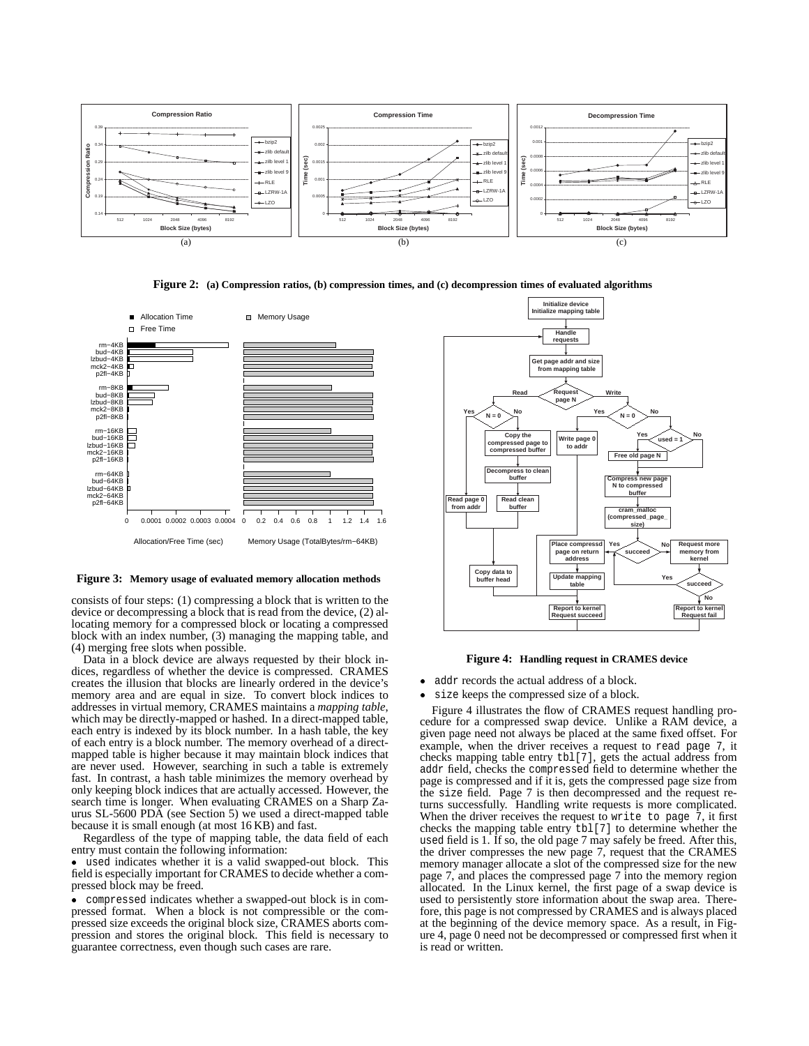

**Figure 2: (a) Compression ratios, (b) compression times, and (c) decompression times of evaluated algorithms**



**Figure 3: Memory usage of evaluated memory allocation methods**

consists of four steps: (1) compressing a block that is written to the device or decompressing a block that is read from the device, (2) allocating memory for a compressed block or locating a compressed block with an index number, (3) managing the mapping table, and (4) merging free slots when possible.

Data in a block device are always requested by their block indices, regardless of whether the device is compressed. CRAMES creates the illusion that blocks are linearly ordered in the device's memory area and are equal in size. To convert block indices to addresses in virtual memory, CRAMES maintains a *mapping table*, which may be directly-mapped or hashed. In a direct-mapped table, each entry is indexed by its block number. In a hash table, the key of each entry is a block number. The memory overhead of a directmapped table is higher because it may maintain block indices that are never used. However, searching in such a table is extremely fast. In contrast, a hash table minimizes the memory overhead by only keeping block indices that are actually accessed. However, the search time is longer. When evaluating CRAMES on a Sharp Zaurus SL-5600 PDA (see Section 5) we used a direct-mapped table because it is small enough (at most 16 KB) and fast.

Regardless of the type of mapping table, the data field of each entry must contain the following information:

used indicates whether it is a valid swapped-out block. This field is especially important for CRAMES to decide whether a compressed block may be freed.

 compressed indicates whether a swapped-out block is in compressed format. When a block is not compressible or the compressed size exceeds the original block size, CRAMES aborts compression and stores the original block. This field is necessary to guarantee correctness, even though such cases are rare.



#### **Figure 4: Handling request in CRAMES device**

- addr records the actual address of a block.
- size keeps the compressed size of a block.

Figure 4 illustrates the flow of CRAMES request handling procedure for a compressed swap device. Unlike a RAM device, a given page need not always be placed at the same fixed offset. For example, when the driver receives a request to read page 7, it checks mapping table entry tbl[7], gets the actual address from addr field, checks the compressed field to determine whether the page is compressed and if it is, gets the compressed page size from the size field. Page 7 is then decompressed and the request returns successfully. Handling write requests is more complicated. When the driver receives the request to write to page  $\overline{7}$ , it first checks the mapping table entry tbl[7] to determine whether the used field is 1. If so, the old page 7 may safely be freed. After this, the driver compresses the new page 7, request that the CRAMES memory manager allocate a slot of the compressed size for the new page 7, and places the compressed page 7 into the memory region allocated. In the Linux kernel, the first page of a swap device is used to persistently store information about the swap area. Therefore, this page is not compressed by CRAMES and is always placed at the beginning of the device memory space. As a result, in Figure 4, page 0 need not be decompressed or compressed first when it is read or written.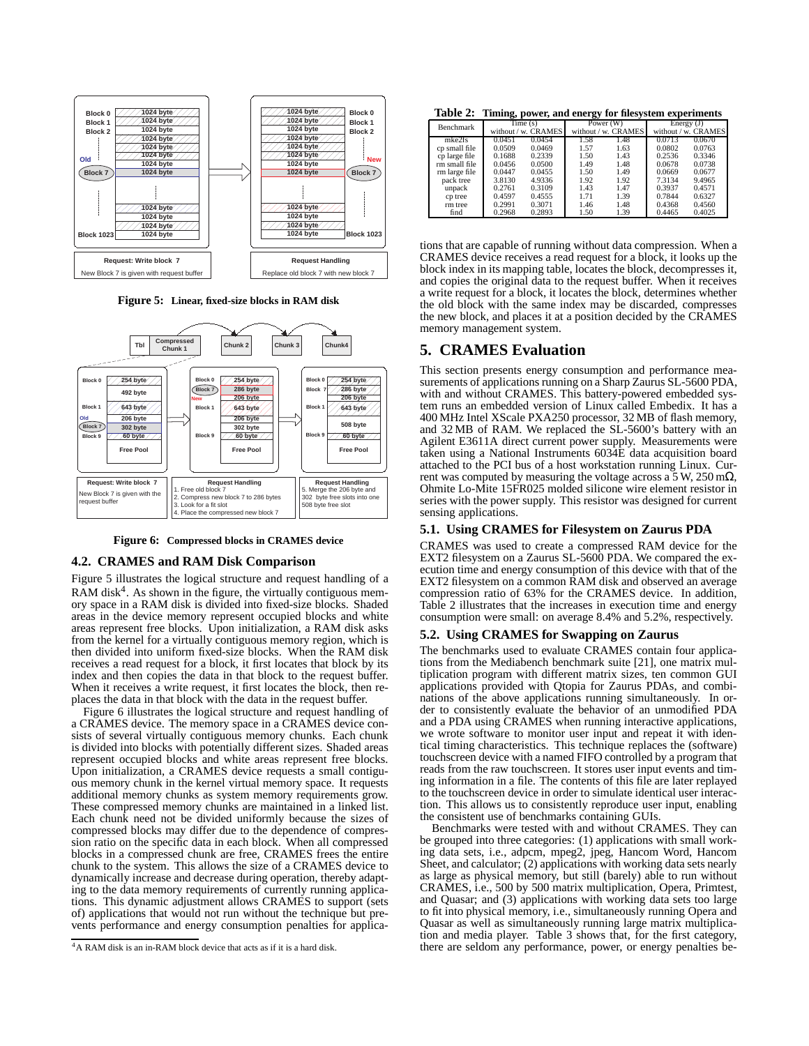

**Figure 5: Linear, fixed-size blocks in RAM disk**



**Figure 6: Compressed blocks in CRAMES device**

#### **4.2. CRAMES and RAM Disk Comparison**

Figure 5 illustrates the logical structure and request handling of a RAM disk<sup>4</sup>. As shown in the figure, the virtually contiguous memory space in a RAM disk is divided into fixed-size blocks. Shaded areas in the device memory represent occupied blocks and white areas represent free blocks. Upon initialization, a RAM disk asks from the kernel for a virtually contiguous memory region, which is then divided into uniform fixed-size blocks. When the RAM disk receives a read request for a block, it first locates that block by its index and then copies the data in that block to the request buffer. When it receives a write request, it first locates the block, then replaces the data in that block with the data in the request buffer.

Figure 6 illustrates the logical structure and request handling of a CRAMES device. The memory space in a CRAMES device consists of several virtually contiguous memory chunks. Each chunk is divided into blocks with potentially different sizes. Shaded areas represent occupied blocks and white areas represent free blocks. Upon initialization, a CRAMES device requests a small contiguous memory chunk in the kernel virtual memory space. It requests additional memory chunks as system memory requirements grow. These compressed memory chunks are maintained in a linked list. Each chunk need not be divided uniformly because the sizes of compressed blocks may differ due to the dependence of compression ratio on the specific data in each block. When all compressed blocks in a compressed chunk are free, CRAMES frees the entire chunk to the system. This allows the size of a CRAMES device to dynamically increase and decrease during operation, thereby adapting to the data memory requirements of currently running applications. This dynamic adjustment allows CRAMES to support (sets of) applications that would not run without the technique but prevents performance and energy consumption penalties for applica-

| Table 2: Timing, power, and energy for filesystem experiments |  |  |  |  |
|---------------------------------------------------------------|--|--|--|--|
|---------------------------------------------------------------|--|--|--|--|

| <b>Benchmark</b> |                     | Time (s) |      | Power $(W)$         | Energy $(J)$        |        |  |  |
|------------------|---------------------|----------|------|---------------------|---------------------|--------|--|--|
|                  | without / w. CRAMES |          |      | without / w. CRAMES | without / w. CRAMES |        |  |  |
| mke2fs           | 0.0451              | 0.0454   | 1.58 | 1.48                | 0.0713              | 0.0670 |  |  |
| cp small file    | 0.0509              | 0.0469   | 1.57 | 1.63                | 0.0802              | 0.0763 |  |  |
| cp large file    | 0.1688              | 0.2339   | 1.50 | 1.43                | 0.2536              | 0.3346 |  |  |
| rm small file    | 0.0456              | 0.0500   | 1.49 | 1.48                | 0.0678              | 0.0738 |  |  |
| rm large file    | 0.0447              | 0.0455   | 1.50 | 1.49                | 0.0669              | 0.0677 |  |  |
| pack tree        | 3.8130              | 4.9336   | 1.92 | 1.92                | 7.3134              | 9.4965 |  |  |
| unpack           | 0.2761              | 0.3109   | 1.43 | 1.47                | 0.3937              | 0.4571 |  |  |
| cp tree          | 0.4597              | 0.4555   | 1.71 | 1.39                | 0.7844              | 0.6327 |  |  |
| rm tree          | 0.2991              | 0.3071   | 1.46 | 1.48                | 0.4368              | 0.4560 |  |  |
| find             | 0.2968              | 0.2893   | 1.50 | 1.39                | 0.4465              | 0.4025 |  |  |

tions that are capable of running without data compression. When a CRAMES device receives a read request for a block, it looks up the block index in its mapping table, locates the block, decompresses it, and copies the original data to the request buffer. When it receives a write request for a block, it locates the block, determines whether the old block with the same index may be discarded, compresses the new block, and places it at a position decided by the CRAMES memory management system.

### **5. CRAMES Evaluation**

This section presents energy consumption and performance measurements of applications running on a Sharp Zaurus SL-5600 PDA, with and without CRAMES. This battery-powered embedded system runs an embedded version of Linux called Embedix. It has a 400 MHz Intel XScale PXA250 processor, 32 MB of flash memory, and 32 MB of RAM. We replaced the SL-5600's battery with an Agilent E3611A direct current power supply. Measurements were taken using a National Instruments 6034E data acquisition board attached to the PCI bus of a host workstation running Linux. Current was computed by measuring the voltage across a  $5 W$ , 250 m $\Omega$ , Ohmite Lo-Mite 15FR025 molded silicone wire element resistor in series with the power supply. This resistor was designed for current sensing applications.

#### **5.1. Using CRAMES for Filesystem on Zaurus PDA**

CRAMES was used to create a compressed RAM device for the EXT2 filesystem on a Zaurus SL-5600 PDA. We compared the execution time and energy consumption of this device with that of the EXT2 filesystem on a common RAM disk and observed an average compression ratio of 63% for the CRAMES device. In addition, Table 2 illustrates that the increases in execution time and energy consumption were small: on average 8.4% and 5.2%, respectively.

#### **5.2. Using CRAMES for Swapping on Zaurus**

The benchmarks used to evaluate CRAMES contain four applications from the Mediabench benchmark suite [21], one matrix multiplication program with different matrix sizes, ten common GUI applications provided with Qtopia for Zaurus PDAs, and combinations of the above applications running simultaneously. In order to consistently evaluate the behavior of an unmodified PDA and a PDA using CRAMES when running interactive applications, we wrote software to monitor user input and repeat it with identical timing characteristics. This technique replaces the (software) touchscreen device with a named FIFO controlled by a program that reads from the raw touchscreen. It stores user input events and timing information in a file. The contents of this file are later replayed to the touchscreen device in order to simulate identical user interaction. This allows us to consistently reproduce user input, enabling the consistent use of benchmarks containing GUIs.

Benchmarks were tested with and without CRAMES. They can be grouped into three categories: (1) applications with small working data sets, i.e., adpcm, mpeg2, jpeg, Hancom Word, Hancom Sheet, and calculator; (2) applications with working data sets nearly as large as physical memory, but still (barely) able to run without CRAMES, i.e., 500 by 500 matrix multiplication, Opera, Primtest, and Quasar; and (3) applications with working data sets too large to fit into physical memory, i.e., simultaneously running Opera and Quasar as well as simultaneously running large matrix multiplication and media player. Table 3 shows that, for the first category, there are seldom any performance, power, or energy penalties be-

<sup>4</sup>A RAM disk is an in-RAM block device that acts as if it is a hard disk.